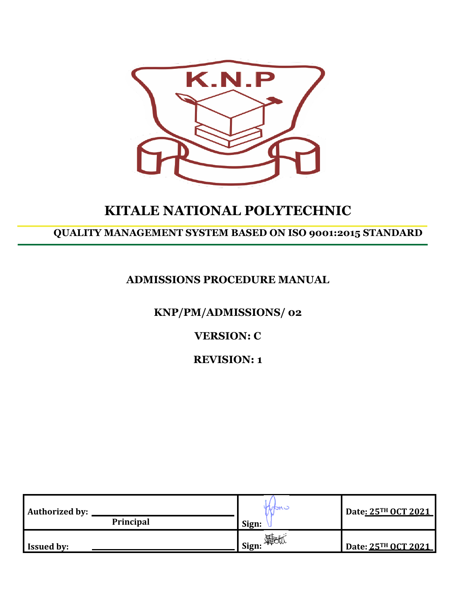

# **KITALE NATIONAL POLYTECHNIC**

## **QUALITY MANAGEMENT SYSTEM BASED ON ISO 9001:2015 STANDARD**

## **ADMISSIONS PROCEDURE MANUAL**

**KNP/PM/ADMISSIONS/ 02**

**VERSION: C**

**REVISION: 1**

| <b>Authorized by:</b><br>Principal | MON<br>Sign:                   | Date: 25TH OCT 2021 |
|------------------------------------|--------------------------------|---------------------|
| <b>Issued by:</b>                  | <b>__i</b> Sign: <sup>\\</sup> | Date: 25TH OCT 2021 |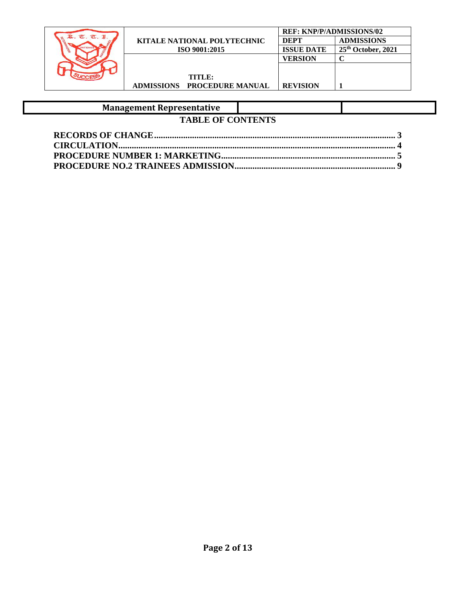|                |                                    | <b>REF: KNP/P/ADMISSIONS/02</b> |                      |
|----------------|------------------------------------|---------------------------------|----------------------|
| $\sigma$ $\pi$ | <b>KITALE NATIONAL POLYTECHNIC</b> | <b>DEPT</b>                     | <b>ADMISSIONS</b>    |
|                | ISO 9001:2015                      | <b>ISSUE DATE</b>               | $25th$ October, 2021 |
|                |                                    | <b>VERSION</b>                  |                      |
|                |                                    |                                 |                      |
|                | TITLE:                             |                                 |                      |
|                | <b>ADMISSIONS PROCEDURE MANUAL</b> | <b>REVISION</b>                 |                      |

## **Management Representative**

## **TABLE OF CONTENTS**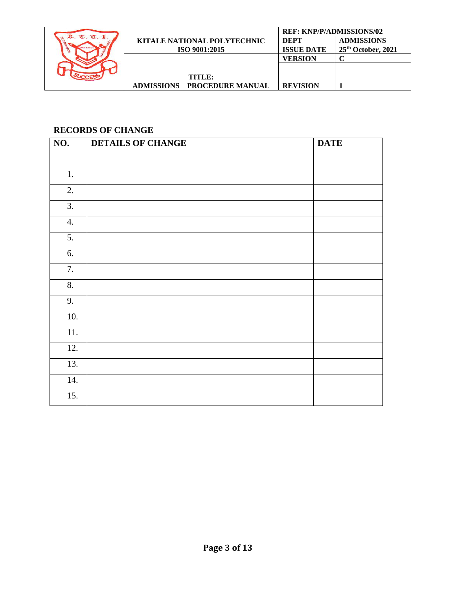|            |                                    | <b>REF: KNP/P/ADMISSIONS/02</b> |                      |
|------------|------------------------------------|---------------------------------|----------------------|
| $\sigma$ . | <b>KITALE NATIONAL POLYTECHNIC</b> | <b>DEPT</b>                     | <b>ADMISSIONS</b>    |
|            | ISO 9001:2015                      | <b>ISSUE DATE</b>               | $25th$ October, 2021 |
|            |                                    | <b>VERSION</b>                  |                      |
|            |                                    |                                 |                      |
|            | TITLE:                             |                                 |                      |
|            | ADMISSIONS PROCEDURE MANUAL        | <b>REVISION</b>                 |                      |

### <span id="page-2-0"></span>**RECORDS OF CHANGE**

| $\overline{NO.}$ | <b>DETAILS OF CHANGE</b> | <b>DATE</b> |
|------------------|--------------------------|-------------|
|                  |                          |             |
| 1.               |                          |             |
| 2.               |                          |             |
| 3.               |                          |             |
| 4.               |                          |             |
| 5.               |                          |             |
| 6.               |                          |             |
| 7.               |                          |             |
| 8.               |                          |             |
| 9.               |                          |             |
| 10.              |                          |             |
| 11.              |                          |             |
| 12.              |                          |             |
| 13.              |                          |             |
| 14.              |                          |             |
| 15.              |                          |             |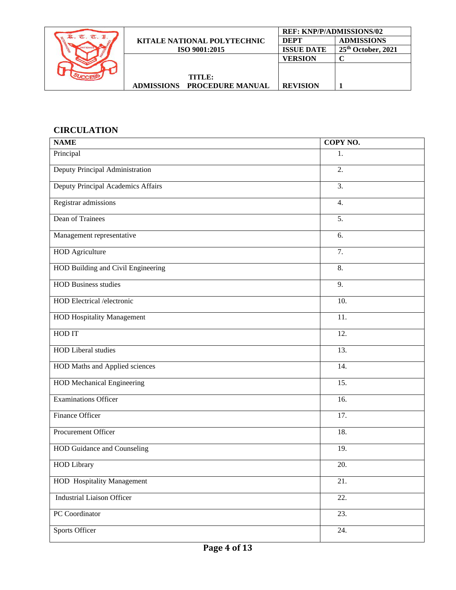|            |                                              | <b>REF: KNP/P/ADMISSIONS/02</b> |                      |
|------------|----------------------------------------------|---------------------------------|----------------------|
| $\pi$<br>Œ | <b>KITALE NATIONAL POLYTECHNIC</b>           | DEPT                            | <b>ADMISSIONS</b>    |
|            | ISO 9001:2015                                | <b>ISSUE DATE</b>               | $25th$ October, 2021 |
|            |                                              | <b>VERSION</b>                  |                      |
|            |                                              |                                 |                      |
|            | TITLE:                                       |                                 |                      |
|            | <b>PROCEDURE MANUAL</b><br><b>ADMISSIONS</b> | <b>REVISION</b>                 |                      |

## <span id="page-3-0"></span>**CIRCULATION**

| <b>NAME</b>                        | COPY NO. |
|------------------------------------|----------|
| Principal                          | 1.       |
| Deputy Principal Administration    | 2.       |
| Deputy Principal Academics Affairs | 3.       |
| Registrar admissions               | 4.       |
| Dean of Trainees                   | 5.       |
| Management representative          | 6.       |
| <b>HOD</b> Agriculture             | 7.       |
| HOD Building and Civil Engineering | 8.       |
| <b>HOD Business studies</b>        | 9.       |
| HOD Electrical /electronic         | 10.      |
| <b>HOD Hospitality Management</b>  | 11.      |
| HOD IT                             | 12.      |
| <b>HOD</b> Liberal studies         | 13.      |
| HOD Maths and Applied sciences     | 14.      |
| <b>HOD Mechanical Engineering</b>  | 15.      |
| <b>Examinations Officer</b>        | 16.      |
| Finance Officer                    | 17.      |
| Procurement Officer                | 18.      |
| <b>HOD Guidance and Counseling</b> | 19.      |
| <b>HOD Library</b>                 | 20.      |
| <b>HOD</b> Hospitality Management  | 21.      |
| <b>Industrial Liaison Officer</b>  | 22.      |
| PC Coordinator                     | 23.      |
| <b>Sports Officer</b>              | 24.      |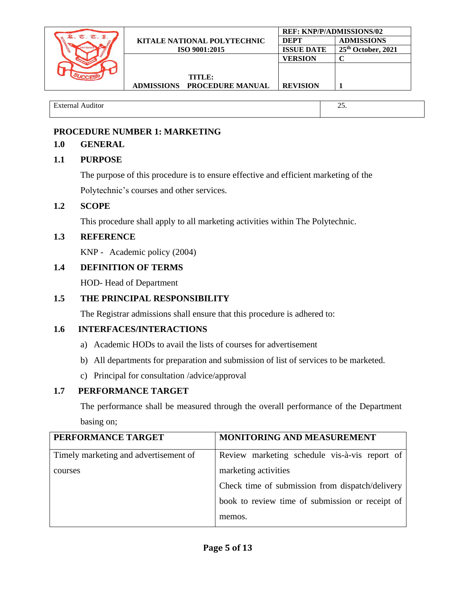|                                    | <b>REF: KNP/P/ADMISSIONS/02</b> |                      |
|------------------------------------|---------------------------------|----------------------|
| <b>KITALE NATIONAL POLYTECHNIC</b> | <b>DEPT</b>                     | <b>ADMISSIONS</b>    |
| ISO 9001:2015                      | <b>ISSUE DATE</b>               | $25th$ October, 2021 |
|                                    | <b>VERSION</b>                  |                      |
|                                    |                                 |                      |
| TITLE:                             |                                 |                      |
| ADMISSIONS PROCEDURE MANUAL        | <b>REVISION</b>                 |                      |

External Auditor 25.

## <span id="page-4-0"></span>**PROCEDURE NUMBER 1: MARKETING**

## **1.0 GENERAL**

## **1.1 PURPOSE**

The purpose of this procedure is to ensure effective and efficient marketing of the Polytechnic's courses and other services.

## **1.2 SCOPE**

This procedure shall apply to all marketing activities within The Polytechnic.

## **1.3 REFERENCE**

KNP - Academic policy (2004)

## **1.4 DEFINITION OF TERMS**

HOD- Head of Department

## **1.5 THE PRINCIPAL RESPONSIBILITY**

The Registrar admissions shall ensure that this procedure is adhered to:

## **1.6 INTERFACES/INTERACTIONS**

- a) Academic HODs to avail the lists of courses for advertisement
- b) All departments for preparation and submission of list of services to be marketed.
- c) Principal for consultation /advice/approval

## **1.7 PERFORMANCE TARGET**

The performance shall be measured through the overall performance of the Department basing on;

| PERFORMANCE TARGET                    | MONITORING AND MEASUREMENT                      |
|---------------------------------------|-------------------------------------------------|
| Timely marketing and advertisement of | Review marketing schedule vis-à-vis report of   |
| courses                               | marketing activities                            |
|                                       | Check time of submission from dispatch/delivery |
|                                       | book to review time of submission or receipt of |
|                                       | memos.                                          |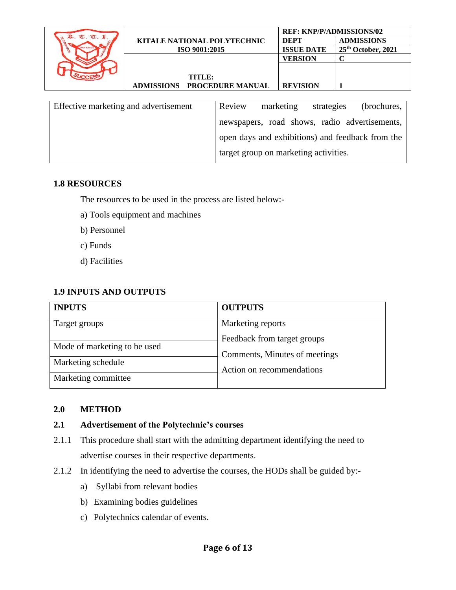|             |                                    | <b>REF: KNP/P/ADMISSIONS/02</b> |                      |
|-------------|------------------------------------|---------------------------------|----------------------|
| $T_{\rm L}$ | <b>KITALE NATIONAL POLYTECHNIC</b> | DEPT                            | <b>ADMISSIONS</b>    |
|             | ISO 9001:2015                      | <b>ISSUE DATE</b>               | $25th$ October, 2021 |
|             |                                    | <b>VERSION</b>                  |                      |
|             |                                    |                                 |                      |
|             | TITLE:                             |                                 |                      |
|             | ADMISSIONS PROCEDURE MANUAL        | <b>REVISION</b>                 |                      |
|             |                                    |                                 |                      |

| Effective marketing and advertisement | Review | marketing                                        | strategies | (brochures, |
|---------------------------------------|--------|--------------------------------------------------|------------|-------------|
|                                       |        | newspapers, road shows, radio advertisements,    |            |             |
|                                       |        | open days and exhibitions) and feedback from the |            |             |
|                                       |        | target group on marketing activities.            |            |             |

#### **1.8 RESOURCES**

The resources to be used in the process are listed below:-

- a) Tools equipment and machines
- b) Personnel
- c) Funds
- d) Facilities

### **1.9 INPUTS AND OUTPUTS**

| <b>INPUTS</b>                | <b>OUTPUTS</b>                |
|------------------------------|-------------------------------|
| Target groups                | Marketing reports             |
|                              | Feedback from target groups   |
| Mode of marketing to be used | Comments, Minutes of meetings |
| Marketing schedule           | Action on recommendations     |
| Marketing committee          |                               |

#### **2.0 METHOD**

## **2.1 Advertisement of the Polytechnic's courses**

- 2.1.1 This procedure shall start with the admitting department identifying the need to advertise courses in their respective departments.
- 2.1.2 In identifying the need to advertise the courses, the HODs shall be guided by:
	- a) Syllabi from relevant bodies
	- b) Examining bodies guidelines
	- c) Polytechnics calendar of events.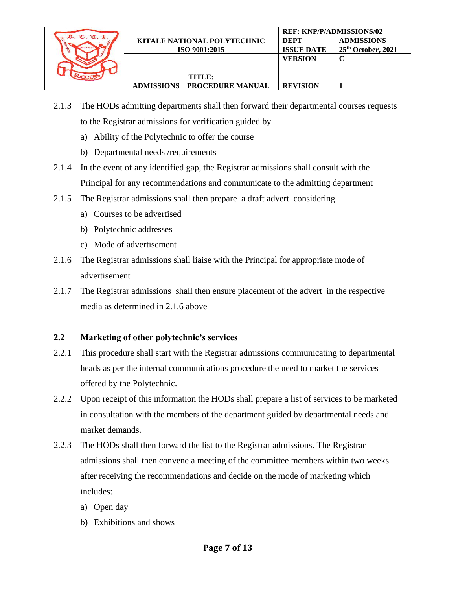

- 2.1.3 The HODs admitting departments shall then forward their departmental courses requests to the Registrar admissions for verification guided by
	- a) Ability of the Polytechnic to offer the course
	- b) Departmental needs /requirements
- 2.1.4 In the event of any identified gap, the Registrar admissions shall consult with the Principal for any recommendations and communicate to the admitting department
- 2.1.5 The Registrar admissions shall then prepare a draft advert considering
	- a) Courses to be advertised
	- b) Polytechnic addresses
	- c) Mode of advertisement
- 2.1.6 The Registrar admissions shall liaise with the Principal for appropriate mode of advertisement
- 2.1.7 The Registrar admissions shall then ensure placement of the advert in the respective media as determined in 2.1.6 above

## **2.2 Marketing of other polytechnic's services**

- 2.2.1 This procedure shall start with the Registrar admissions communicating to departmental heads as per the internal communications procedure the need to market the services offered by the Polytechnic.
- 2.2.2 Upon receipt of this information the HODs shall prepare a list of services to be marketed in consultation with the members of the department guided by departmental needs and market demands.
- 2.2.3 The HODs shall then forward the list to the Registrar admissions. The Registrar admissions shall then convene a meeting of the committee members within two weeks after receiving the recommendations and decide on the mode of marketing which includes:
	- a) Open day
	- b) Exhibitions and shows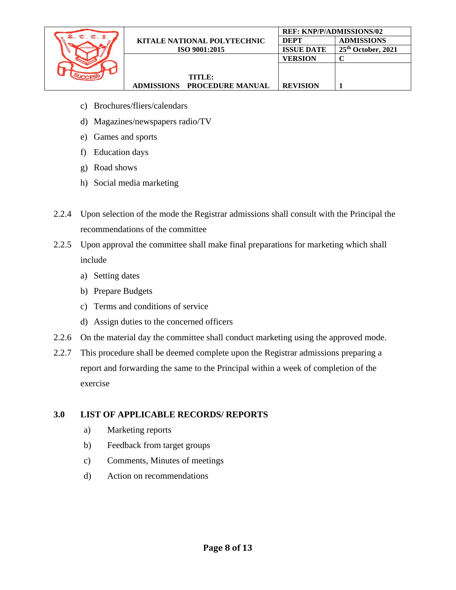

- c) Brochures/fliers/calendars
- d) Magazines/newspapers radio/TV
- e) Games and sports
- f) Education days
- g) Road shows
- h) Social media marketing
- 2.2.4 Upon selection of the mode the Registrar admissions shall consult with the Principal the recommendations of the committee
- 2.2.5 Upon approval the committee shall make final preparations for marketing which shall include
	- a) Setting dates
	- b) Prepare Budgets
	- c) Terms and conditions of service
	- d) Assign duties to the concerned officers
- 2.2.6 On the material day the committee shall conduct marketing using the approved mode.
- 2.2.7 This procedure shall be deemed complete upon the Registrar admissions preparing a report and forwarding the same to the Principal within a week of completion of the exercise

## **3.0 LIST OF APPLICABLE RECORDS/ REPORTS**

- a) Marketing reports
- b) Feedback from target groups
- c) Comments, Minutes of meetings
- d) Action on recommendations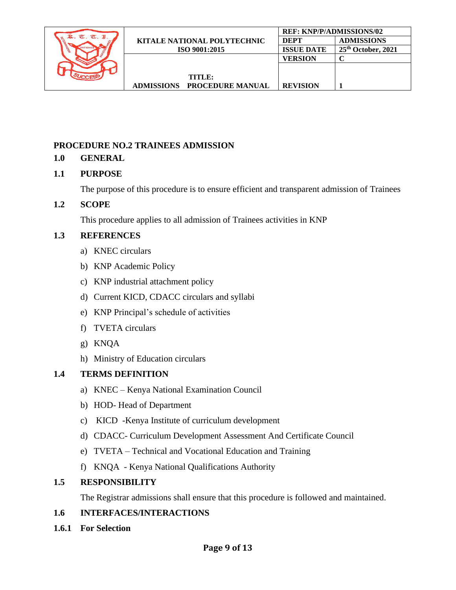|                        |                                    | <b>REF: KNP/P/ADMISSIONS/02</b> |                      |  |
|------------------------|------------------------------------|---------------------------------|----------------------|--|
| $\sigma$<br>$\sigma$ . | <b>KITALE NATIONAL POLYTECHNIC</b> | <b>DEPT</b>                     | <b>ADMISSIONS</b>    |  |
|                        | ISO 9001:2015                      | <b>ISSUE DATE</b>               | $25th$ October, 2021 |  |
|                        |                                    | VERSION                         |                      |  |
|                        |                                    |                                 |                      |  |
|                        | TITLE:                             |                                 |                      |  |
|                        | <b>ADMISSIONS PROCEDURE MANUAL</b> | <b>REVISION</b>                 |                      |  |

### <span id="page-8-0"></span>**PROCEDURE NO.2 TRAINEES ADMISSION**

#### **1.0 GENERAL**

#### **1.1 PURPOSE**

The purpose of this procedure is to ensure efficient and transparent admission of Trainees

#### **1.2 SCOPE**

This procedure applies to all admission of Trainees activities in KNP

#### **1.3 REFERENCES**

- a) KNEC circulars
- b) KNP Academic Policy
- c) KNP industrial attachment policy
- d) Current KICD, CDACC circulars and syllabi
- e) KNP Principal's schedule of activities
- f) TVETA circulars
- g) KNQA
- h) Ministry of Education circulars

#### **1.4 TERMS DEFINITION**

- a) KNEC Kenya National Examination Council
- b) HOD- Head of Department
- c) KICD -Kenya Institute of curriculum development
- d) CDACC- Curriculum Development Assessment And Certificate Council
- e) TVETA Technical and Vocational Education and Training
- f) KNQA Kenya National Qualifications Authority

#### **1.5 RESPONSIBILITY**

The Registrar admissions shall ensure that this procedure is followed and maintained.

#### **1.6 INTERFACES/INTERACTIONS**

**1.6.1 For Selection**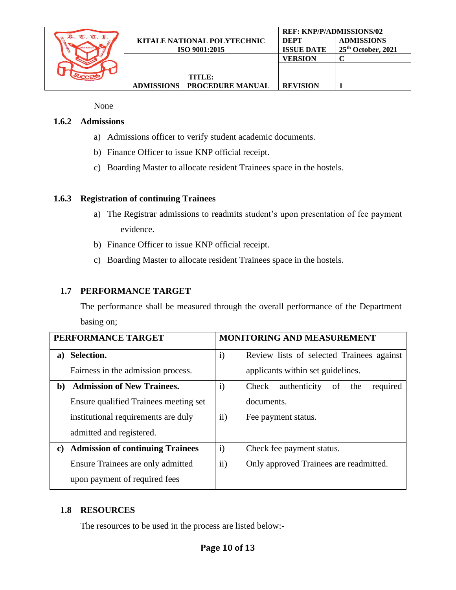

None

#### **1.6.2 Admissions**

- a) Admissions officer to verify student academic documents.
- b) Finance Officer to issue KNP official receipt.
- c) Boarding Master to allocate resident Trainees space in the hostels.

#### **1.6.3 Registration of continuing Trainees**

- a) The Registrar admissions to readmits student's upon presentation of fee payment evidence.
- b) Finance Officer to issue KNP official receipt.
- c) Boarding Master to allocate resident Trainees space in the hostels.

#### **1.7 PERFORMANCE TARGET**

The performance shall be measured through the overall performance of the Department basing on;

| PERFORMANCE TARGET |                                         | <b>MONITORING AND MEASUREMENT</b> |                                                |  |
|--------------------|-----------------------------------------|-----------------------------------|------------------------------------------------|--|
| a)                 | Selection.                              | $\mathbf{i}$                      | Review lists of selected Trainees against      |  |
|                    | Fairness in the admission process.      |                                   | applicants within set guidelines.              |  |
| b)                 | <b>Admission of New Trainees.</b>       | $\mathbf{i}$                      | authenticity<br>required<br>Check<br>the<br>οf |  |
|                    | Ensure qualified Trainees meeting set   |                                   | documents.                                     |  |
|                    | institutional requirements are duly     | $\rm ii)$                         | Fee payment status.                            |  |
|                    | admitted and registered.                |                                   |                                                |  |
| C)                 | <b>Admission of continuing Trainees</b> |                                   | Check fee payment status.                      |  |
|                    | Ensure Trainees are only admitted       |                                   | Only approved Trainees are readmitted.         |  |
|                    | upon payment of required fees           |                                   |                                                |  |

#### **1.8 RESOURCES**

The resources to be used in the process are listed below:-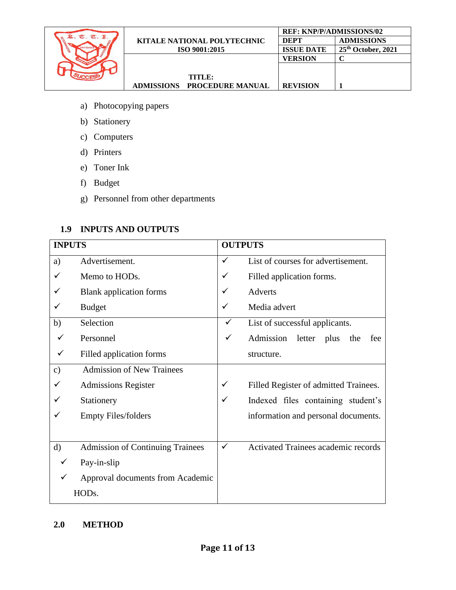

- a) Photocopying papers
- b) Stationery
- c) Computers
- d) Printers
- e) Toner Ink
- f) Budget
- g) Personnel from other departments

## **1.9 INPUTS AND OUTPUTS**

| <b>INPUTS</b>      |                                         | <b>OUTPUTS</b> |                                            |
|--------------------|-----------------------------------------|----------------|--------------------------------------------|
| a)                 | Advertisement.                          | ✓              | List of courses for advertisement.         |
|                    | Memo to HODs.                           | $\checkmark$   | Filled application forms.                  |
|                    | <b>Blank</b> application forms          | ✓              | Adverts                                    |
|                    | <b>Budget</b>                           | ✓              | Media advert                               |
| b)                 | Selection                               | ✓              | List of successful applicants.             |
|                    | Personnel                               | $\checkmark$   | Admission letter plus<br>the<br>fee        |
|                    | Filled application forms                |                | structure.                                 |
| $\mathbf{c})$      | <b>Admission of New Trainees</b>        |                |                                            |
|                    | <b>Admissions Register</b>              | $\checkmark$   | Filled Register of admitted Trainees.      |
|                    | Stationery                              | ✓              | Indexed files containing student's         |
|                    | <b>Empty Files/folders</b>              |                | information and personal documents.        |
|                    |                                         |                |                                            |
| $\mathbf{d}$       | <b>Admission of Continuing Trainees</b> | ✓              | <b>Activated Trainees academic records</b> |
|                    | Pay-in-slip                             |                |                                            |
| ✓                  | Approval documents from Academic        |                |                                            |
| HOD <sub>s</sub> . |                                         |                |                                            |

#### **2.0 METHOD**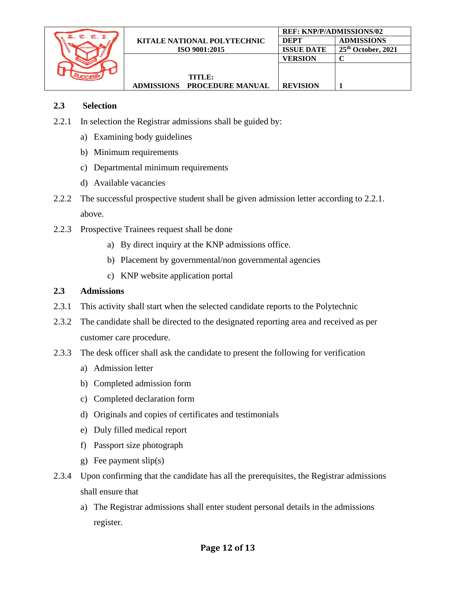

#### **2.3 Selection**

- 2.2.1 In selection the Registrar admissions shall be guided by:
	- a) Examining body guidelines
	- b) Minimum requirements
	- c) Departmental minimum requirements
	- d) Available vacancies
- 2.2.2 The successful prospective student shall be given admission letter according to 2.2.1. above.
- 2.2.3 Prospective Trainees request shall be done
	- a) By direct inquiry at the KNP admissions office.
	- b) Placement by governmental/non governmental agencies
	- c) KNP website application portal

#### **2.3 Admissions**

- 2.3.1 This activity shall start when the selected candidate reports to the Polytechnic
- 2.3.2 The candidate shall be directed to the designated reporting area and received as per customer care procedure.
- 2.3.3 The desk officer shall ask the candidate to present the following for verification
	- a) Admission letter
	- b) Completed admission form
	- c) Completed declaration form
	- d) Originals and copies of certificates and testimonials
	- e) Duly filled medical report
	- f) Passport size photograph
	- g) Fee payment slip(s)
- 2.3.4 Upon confirming that the candidate has all the prerequisites, the Registrar admissions shall ensure that
	- a) The Registrar admissions shall enter student personal details in the admissions register.